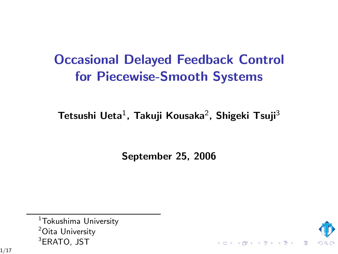# Occasional Delayed Feedback Control for Piecewise-Smooth Systems

Tetsushi Ueta $^1$ , Takuji Kousaka $^2$ , Shigeki Tsuji $^3$ 

September 25, 2006

 $1$ Tokushima University <sup>2</sup>Oita University <sup>3</sup>ERATO, JST

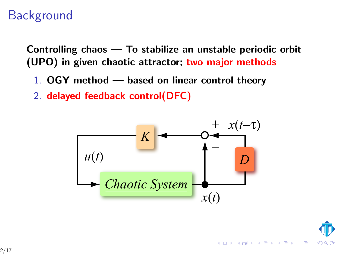# **Background**

Controlling chaos — To stabilize an unstable periodic orbit (UPO) in given chaotic attractor; two major methods

- 1. OGY method based on linear control theory
- 2. delayed feedback control(DFC)



 $4$  ロ }  $4$   $\overline{r}$  }  $4$   $\overline{r}$  }  $4$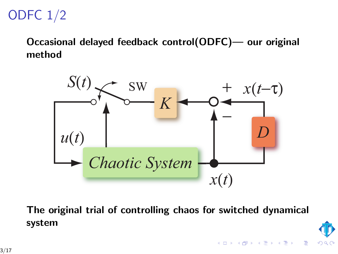# ODFC 1/2

Occasional delayed feedback control(ODFC)— our original method



The original trial of controlling chaos for switched dynamical system

イロメ イ部メ イ君メ イ君メ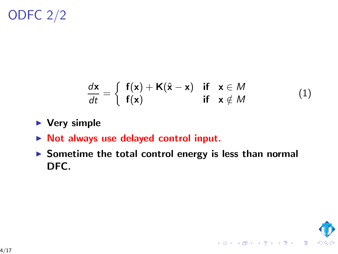ODFC 2/2

$$
\frac{d\mathbf{x}}{dt} = \begin{cases} \mathbf{f}(\mathbf{x}) + \mathbf{K}(\hat{\mathbf{x}} - \mathbf{x}) & \text{if } \mathbf{x} \in M \\ \mathbf{f}(\mathbf{x}) & \text{if } \mathbf{x} \notin M \end{cases} (1)
$$

- $\blacktriangleright$  Very simple
- ▶ Not always use delayed control input.
- $\triangleright$  Sometime the total control energy is less than normal DFC.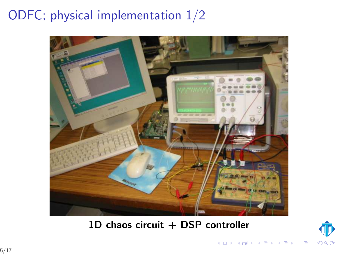# ODFC; physical implementation 1/2



#### $1D$  chaos circuit  $+$  DSP controller



4 日 ト 4 御 ト 4 差 ト 4

 $\equiv$   $\rightarrow$  $\Rightarrow$ 

5/17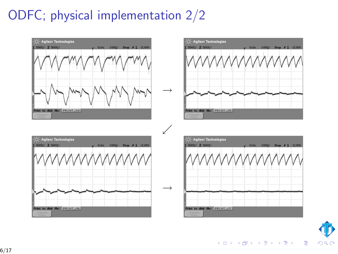# ODFC; physical implementation 2/2



イロト イ伊 トイヨ トイヨト

E

 $\Omega$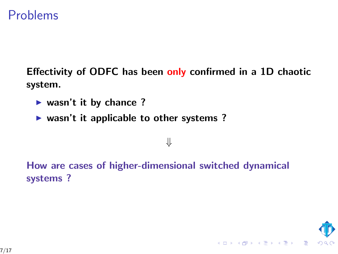#### Problems

Effectivity of ODFC has been only confirmed in a 1D chaotic system.

⇓

- $\blacktriangleright$  wasn't it by chance ?
- $\triangleright$  wasn't it applicable to other systems ?

# How are cases of higher-dimensional switched dynamical systems ?

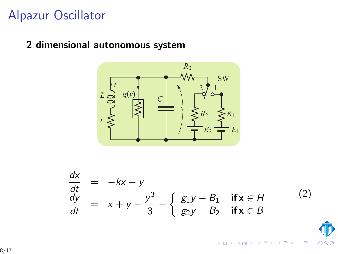### Alpazur Oscillator

#### 2 dimensional autonomous system



$$
\begin{array}{rcl}\n\frac{dx}{dt} & = & -kx - y \\
\frac{dy}{dt} & = & x + y - \frac{y^3}{3} - \left\{ \begin{array}{ll} g_1 y - B_1 & \text{if } x \in H \\
g_2 y - B_2 & \text{if } x \in B \end{array} \right. \end{array} \tag{2}
$$

 $\leftarrow$   $\Box$ 

 $\overline{AB}$ 

÷,

Þ b. É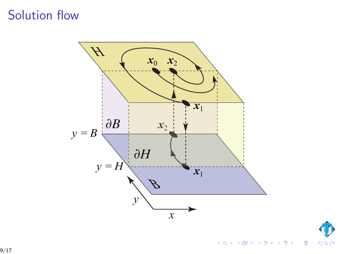### Solution flow



 $\boldsymbol{\Phi}$  $299$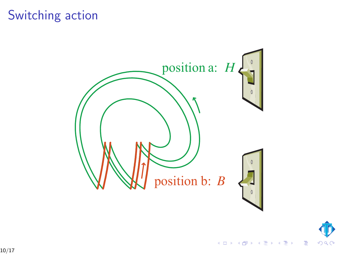# Switching action





目

 $\mathcal{A} \subseteq \mathcal{P} \rightarrow \mathcal{A} \oplus \mathcal{P} \rightarrow \mathcal{A} \oplus \mathcal{P} \rightarrow \mathcal{A} \oplus \mathcal{P}$ 

10/17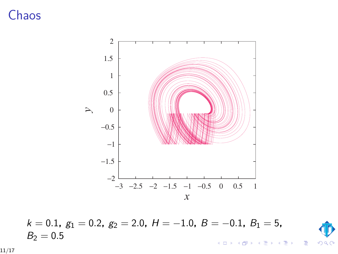# Chaos



$$
k = 0.1
$$
,  $g_1 = 0.2$ ,  $g_2 = 2.0$ ,  $H = -1.0$ ,  $B = -0.1$ ,  $B_1 = 5$ ,  
 $B_2 = 0.5$ 



Ε

ъ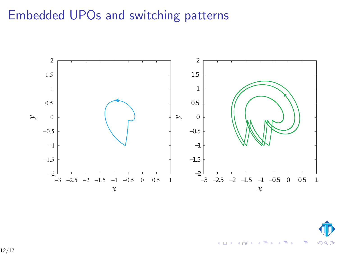# Embedded UPOs and switching patterns



 $\leftarrow$ 

つへへ

÷ Ŷ. ŧ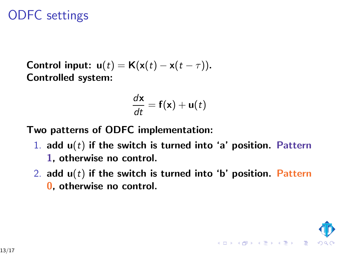# ODFC settings

Control input:  $u(t) = K(x(t) - x(t - \tau))$ . Controlled system:

$$
\frac{d\mathbf{x}}{dt} = \mathbf{f}(\mathbf{x}) + \mathbf{u}(t)
$$

Two patterns of ODFC implementation:

- 1. add  $u(t)$  if the switch is turned into 'a' position. Pattern 1, otherwise no control.
- 2. add  $u(t)$  if the switch is turned into 'b' position. Pattern 0, otherwise no control.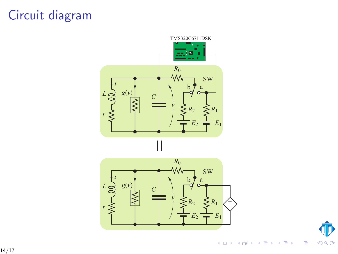# Circuit diagram





È

**K ロ ▶ K 母 ▶ K** G. 경기 Ŷ.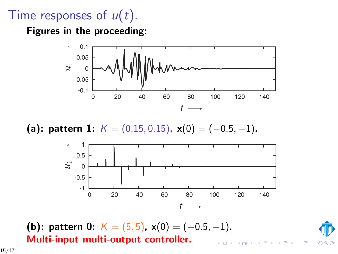# Time responses of  $u(t)$ .

Figures in the proceeding:



(a): pattern 1:  $K = (0.15, 0.15)$ ,  $\mathbf{x}(0) = (-0.5, -1)$ .



(b): pattern 0:  $K = (5, 5)$ ,  $x(0) = (-0.5, -1)$ . Multi-input multi-output controller.



E

15/17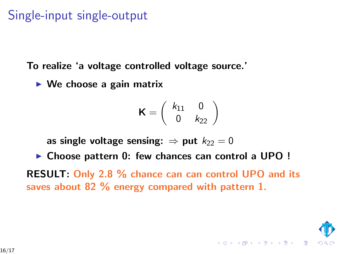# Single-input single-output

To realize 'a voltage controlled voltage source.'

 $\triangleright$  We choose a gain matrix

$$
\mathbf{K} = \left( \begin{array}{cc} k_{11} & 0 \\ 0 & k_{22} \end{array} \right)
$$

as single voltage sensing:  $\Rightarrow$  put  $k_{22} = 0$ 

▶ Choose pattern 0: few chances can control a UPO !

RESULT: Only 2.8 % chance can can control UPO and its saves about 82 % energy compared with pattern 1.